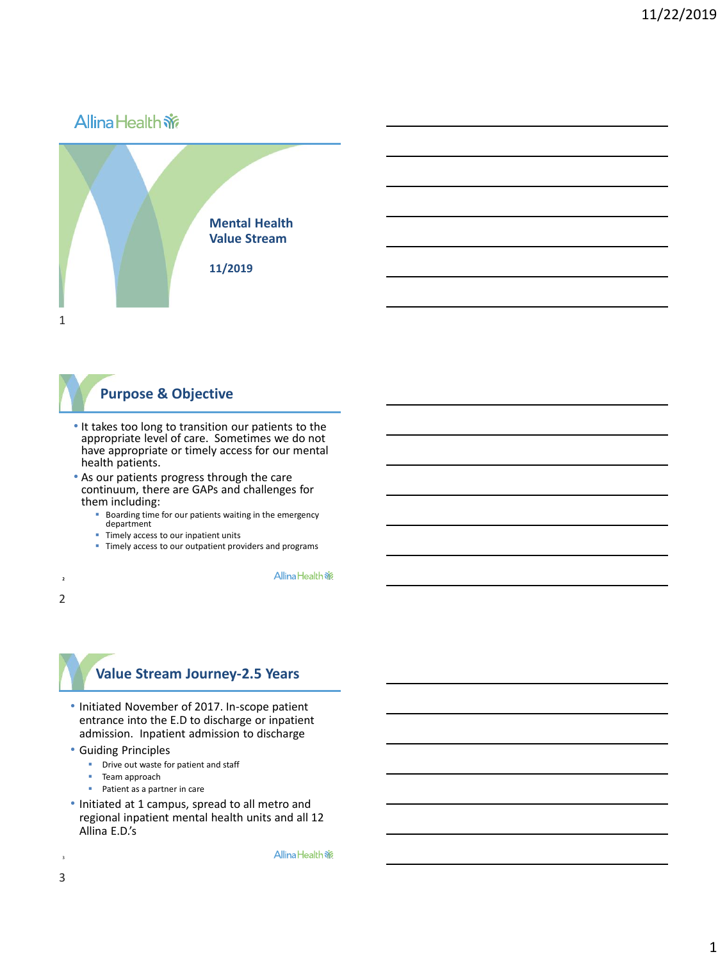# **AllinaHealth 新**



## **Purpose & Objective**

- It takes too long to transition our patients to the appropriate level of care. Sometimes we do not have appropriate or timely access for our mental health patients.
- As our patients progress through the care continuum, there are GAPs and challenges for them including:
	- Boarding time for our patients waiting in the emergency department
	- **E** Timely access to our inpatient units
	- **Timely access to our outpatient providers and programs**

Allina Health %

#### 2 2

#### **Value Stream Journey-2.5 Years**

- Initiated November of 2017. In-scope patient entrance into the E.D to discharge or inpatient admission. Inpatient admission to discharge
- Guiding Principles
	- **•** Drive out waste for patient and staff
	- Team approach
	- Patient as a partner in care
- Initiated at 1 campus, spread to all metro and regional inpatient mental health units and all 12 Allina E.D.'s

Allina Health %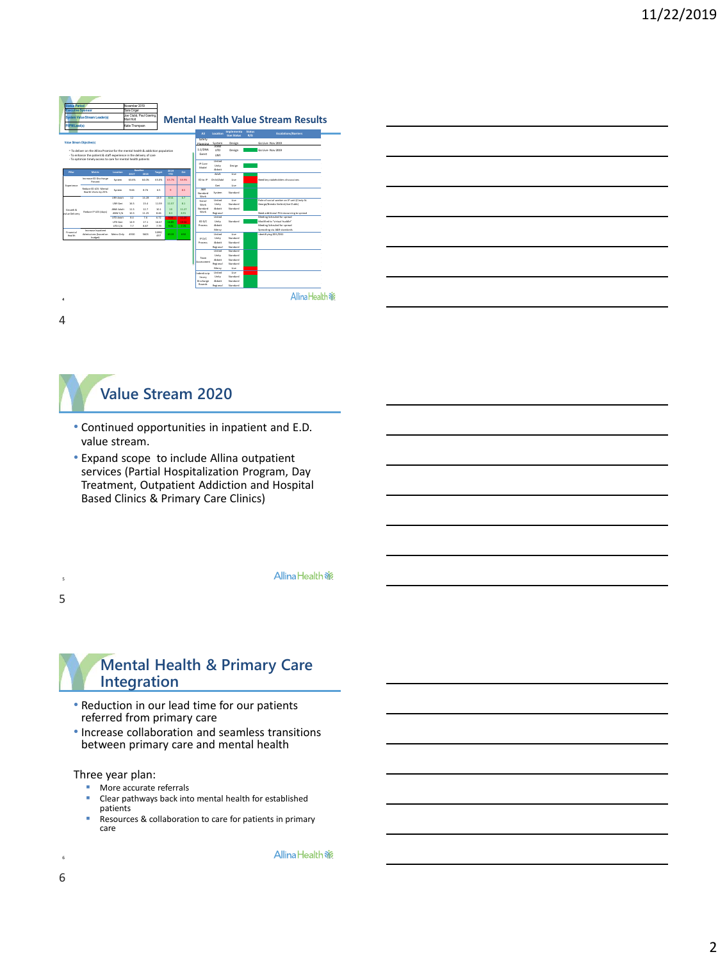| <b>Status Period</b><br><b>Executive Sponsor</b><br><b>System Value Stream Leader(s)</b> |                                                                                                                                                        | November 2019<br>Sara Criger<br>Joe Clubb, Paul Goering.<br>Mari Holt |                 |                         | <b>Mental Health Value Stream Results</b> |             |                  |                            |                           |                              |                      |                                                            |  |
|------------------------------------------------------------------------------------------|--------------------------------------------------------------------------------------------------------------------------------------------------------|-----------------------------------------------------------------------|-----------------|-------------------------|-------------------------------------------|-------------|------------------|----------------------------|---------------------------|------------------------------|----------------------|------------------------------------------------------------|--|
| PLIPM Lead(s)<br>Katie Thompson                                                          |                                                                                                                                                        |                                                                       |                 |                         |                                           |             |                  |                            |                           |                              |                      |                                                            |  |
|                                                                                          |                                                                                                                                                        |                                                                       |                 |                         |                                           |             |                  | A3                         | Location                  | Implementa<br>tion Status    | Status<br><b>R/G</b> | Escalations/Barriers                                       |  |
| Value Stream Objective(s)                                                                |                                                                                                                                                        |                                                                       |                 |                         |                                           |             |                  | Safety<br><b>Diamoins</b>  | System                    | Design                       |                      | Go Live-Nov 2029                                           |  |
|                                                                                          | - To deliver on the Allina Promise for the mental health & addiction population<br>- To enhance the patient & staff experience in the delivery of care |                                                                       |                 |                         |                                           |             | 1:1/DNA<br>Event | ANW<br>UTD<br>TIMY         | Design                    |                              | Go Live-Nov 2029     |                                                            |  |
|                                                                                          | - To cotimize timely access to care for mental health patients                                                                                         |                                                                       |                 |                         |                                           |             |                  | IP Care<br>Model           | United<br>Unity           | Design                       |                      |                                                            |  |
| Pillon                                                                                   | Metric                                                                                                                                                 | Locatice                                                              | 2017            | <b>Base Ene</b><br>2019 | Target                                    | 2019<br>YTO | 0d               |                            | Abbott<br>Adult           | <b>Date</b>                  |                      |                                                            |  |
| Experience                                                                               | Increase ED Discharge<br>Percent                                                                                                                       | System                                                                | 63.6%           | <b>GA ON</b>            | CS ONG                                    | 63.7%       | <b>CB ONC</b>    | ED to IP                   | Child (Adol               | Uye                          |                      | Need key stakeholders discussions                          |  |
|                                                                                          | <b>Reduce CD LOC: Mental</b><br>Health Visits by 25%                                                                                                   | System                                                                | 9.66            | 8.76                    | 6.5                                       | ö           | 8.5              | <b>A&amp;R</b><br>Standard | Gett<br>System            | Uye<br>Questions             |                      |                                                            |  |
|                                                                                          | Reduce IP LOS (days)                                                                                                                                   | UNY Adult                                                             | $\overline{12}$ | 14.28                   | 12.9                                      | 8.54        | 67               | Work<br>Social             | United                    | <b>Elizabet</b>              |                      | Role of social worker on IP unit (Cindy St.                |  |
|                                                                                          |                                                                                                                                                        | <b>UNY Geri</b>                                                       | 16.5            | 13.4                    | 11.59                                     | 11.57       | 8.1              | Work                       | Unity                     | Questions                    |                      | George/Brenda Verbick/Joe Clubb)                           |  |
| Growth &<br>Value Delivery                                                               |                                                                                                                                                        | <b>ANNI ARVIV</b><br><b>ANNI CTA</b>                                  | 115<br>10.2     | 12.7<br>11.35           | 10.1<br>9.46                              | 50<br>6.3   | 11.22<br>8.91    | Standard<br>Work           | Ahheer<br><b>Regional</b> | Questions                    |                      | Need additional PIA resourcing to spread                   |  |
|                                                                                          |                                                                                                                                                        | <b>UTD AND</b>                                                        | 9.4             | 26                      | 6.72                                      | 9.04        | 11.20            |                            | United                    |                              |                      | Meeting Scheuled for spread                                |  |
|                                                                                          |                                                                                                                                                        | UTD Geri                                                              | 14.9            | 17.1                    | 16.67                                     | 16.85       | 19.56            | DAG G3                     | Unity                     | Standard                     |                      | Modified to "virtual huddle"                               |  |
|                                                                                          |                                                                                                                                                        | UTD C/A                                                               | 22              | 9.97                    | 7.79                                      | 9.21        | 7.70             | Process                    | <b>Abbott</b><br>Mercy    |                              |                      | Meeting Scheuled for spread<br>Spreading via A&R standards |  |
| Roandall                                                                                 | Increase Inpatient<br>Admissions Based on Metro Only                                                                                                   |                                                                       | 4930            | 5603                    | 5099/                                     | 6519        | 650              |                            | United                    | Uye                          |                      | identifiving DO1/DD2                                       |  |
| Health                                                                                   | budent)                                                                                                                                                |                                                                       |                 |                         | 497                                       |             |                  | IP D/C                     | Unity                     | Standard                     |                      |                                                            |  |
|                                                                                          |                                                                                                                                                        |                                                                       |                 |                         |                                           |             |                  | Process                    | Abbott                    | Questions                    |                      |                                                            |  |
|                                                                                          |                                                                                                                                                        |                                                                       |                 |                         |                                           |             |                  |                            | <b>Regional</b>           | Questions                    |                      |                                                            |  |
|                                                                                          |                                                                                                                                                        |                                                                       |                 |                         |                                           |             |                  |                            | United<br><b>Linking</b>  | <b>Standard</b><br>Questions |                      |                                                            |  |
|                                                                                          |                                                                                                                                                        |                                                                       |                 |                         |                                           |             |                  | Team                       | Abbott                    | Standard                     |                      |                                                            |  |
|                                                                                          |                                                                                                                                                        |                                                                       |                 |                         |                                           |             |                  | Assessment                 | <b>Regional</b>           | Standard                     |                      |                                                            |  |
|                                                                                          |                                                                                                                                                        |                                                                       |                 |                         |                                           |             |                  |                            | Mercy                     | Uye                          |                      |                                                            |  |
|                                                                                          |                                                                                                                                                        |                                                                       |                 |                         |                                           |             |                  | Indendiscio                | United                    | Uye                          |                      |                                                            |  |
|                                                                                          |                                                                                                                                                        |                                                                       |                 |                         |                                           |             |                  | linary<br>Discharge        | Unity<br>Ahheer           | Questions<br>Questions       |                      |                                                            |  |
|                                                                                          |                                                                                                                                                        |                                                                       |                 |                         |                                           |             |                  | Rounds                     | <b>Regional</b>           | Questions                    |                      |                                                            |  |
|                                                                                          |                                                                                                                                                        |                                                                       |                 |                         |                                           |             |                  |                            |                           |                              |                      | Allina Health &                                            |  |





- Continued opportunities in inpatient and E.D. value stream.
- Expand scope to include Allina outpatient services (Partial Hospitalization Program, Day Treatment, Outpatient Addiction and Hospital Based Clinics & Primary Care Clinics)

Allina Health %



5

5

4

### **Mental Health & Primary Care Integration**

- Reduction in our lead time for our patients referred from primary care
- Increase collaboration and seamless transitions between primary care and mental health

Three year plan:

- More accurate referrals
- Clear pathways back into mental health for established patients
- Resources & collaboration to care for patients in primary care

Allina Health %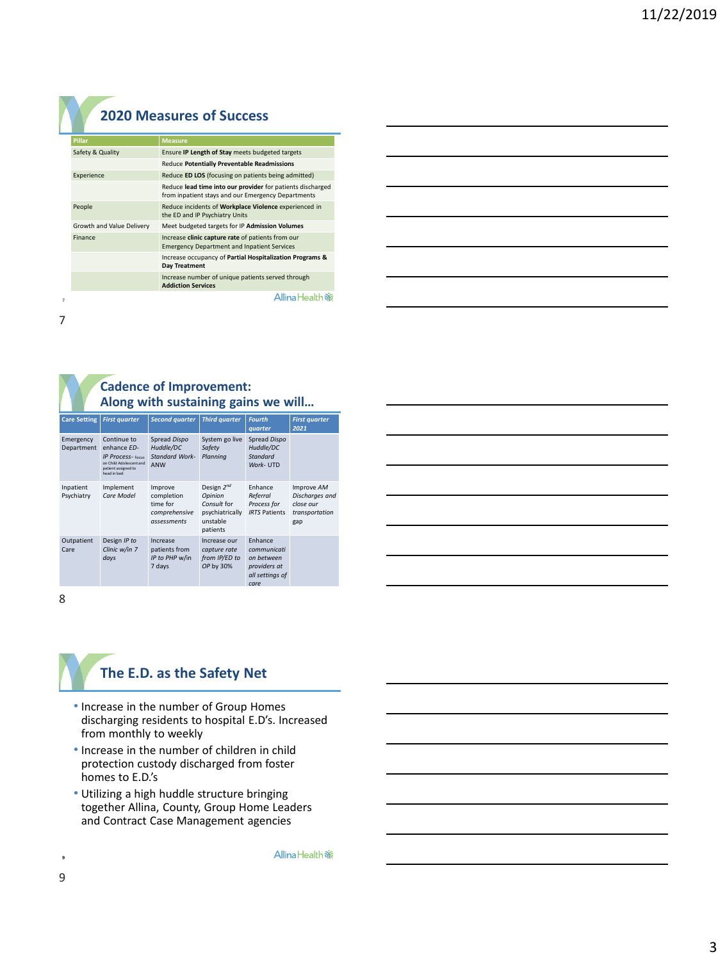### **2020 Measures of Success**

| <b>Pillar</b>             | <b>Measure</b>                                                                                                   |  |  |  |
|---------------------------|------------------------------------------------------------------------------------------------------------------|--|--|--|
| Safety & Quality          | Ensure IP Length of Stay meets budgeted targets                                                                  |  |  |  |
|                           | Reduce Potentially Preventable Readmissions                                                                      |  |  |  |
| Experience                | Reduce ED LOS (focusing on patients being admitted)                                                              |  |  |  |
|                           | Reduce lead time into our provider for patients discharged<br>from inpatient stays and our Emergency Departments |  |  |  |
| People                    | Reduce incidents of Workplace Violence experienced in<br>the ED and IP Psychiatry Units                          |  |  |  |
| Growth and Value Delivery | Meet budgeted targets for IP Admission Volumes                                                                   |  |  |  |
| Finance                   | Increase clinic capture rate of patients from our<br><b>Emergency Department and Inpatient Services</b>          |  |  |  |
|                           | Increase occupancy of Partial Hospitalization Programs &<br>Day Treatment                                        |  |  |  |
|                           | Increase number of unique patients served through<br><b>Addiction Services</b>                                   |  |  |  |
|                           | Allina Healt                                                                                                     |  |  |  |

| and the control of the control of the control of the control of the control of the control of the control of the      |  |  |  |
|-----------------------------------------------------------------------------------------------------------------------|--|--|--|
|                                                                                                                       |  |  |  |
| <u> 1989 - Johann Stoff, deutscher Stoffen und der Stoffen und der Stoffen und der Stoffen und der Stoffen und de</u> |  |  |  |
| <u> 1989 - Johann Stoff, deutscher Stoff, der Stoff, der Stoff, der Stoff, der Stoff, der Stoff, der Stoff, der S</u> |  |  |  |
| <u> 1989 - Johann Stoff, deutscher Stoff, der Stoff, der Stoff, der Stoff, der Stoff, der Stoff, der Stoff, der S</u> |  |  |  |
|                                                                                                                       |  |  |  |

7 7

#### **Cadence of Improvement: Along with sustaining gains we will…**

| <b>Care Setting</b>     | <b>First quarter</b>                                                                                                    | <b>Second quarter</b>                                             | <b>Third quarter</b>                                                                 | <b>Fourth</b><br>quarter                                                        | <b>First quarter</b><br>2021                                       |
|-------------------------|-------------------------------------------------------------------------------------------------------------------------|-------------------------------------------------------------------|--------------------------------------------------------------------------------------|---------------------------------------------------------------------------------|--------------------------------------------------------------------|
| Emergency<br>Department | Continue to<br>enhance ED-<br><b>IP Process-</b> focus<br>on Child Adolescent and<br>patient assigned to<br>head in bed | Spread Dispo<br>Huddle/DC<br><b>Standard Work-</b><br>ANW         | System go live<br>Safety<br>Planning                                                 | Spread Dispo<br>Huddle/DC<br>Standard<br>Work- UTD                              |                                                                    |
| Inpatient<br>Psychiatry | Implement<br>Care Model                                                                                                 | Improve<br>completion<br>time for<br>comprehensive<br>assessments | Design $2^{nd}$<br>Opinion<br>Consult for<br>psychiatrically<br>unstable<br>patients | Enhance<br>Referral<br>Process for<br><b>IRTS Patients</b>                      | Improve AM<br>Discharges and<br>close our<br>transportation<br>gap |
| Outpatient<br>Care      | Design IP to<br>Clinic w/in 7<br>days                                                                                   | Increase<br>patients from<br>IP to PHP w/in<br>7 days             | Increase our<br>capture rate<br>from IP/ED to<br>OP by 30%                           | Enhance<br>communicati<br>on hetween<br>providers at<br>all settings of<br>care |                                                                    |

8

## **The E.D. as the Safety Net**

- Increase in the number of Group Homes discharging residents to hospital E.D's. Increased from monthly to weekly
- Increase in the number of children in child protection custody discharged from foster homes to E.D.'s
- Utilizing a high huddle structure bringing together Allina, County, Group Home Leaders and Contract Case Management agencies

Allina Health %